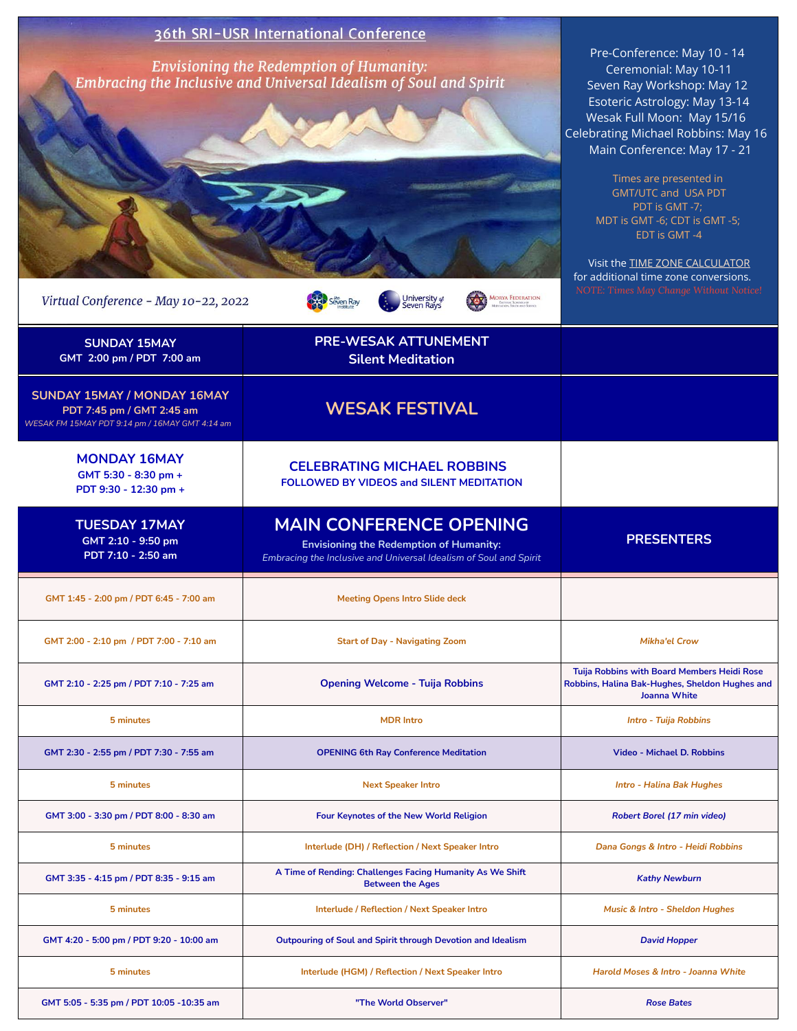| Virtual Conference - May 10-22, 2022                                                                       | 36th SRI-USR International Conference<br><b>Envisioning the Redemption of Humanity:</b><br>Embracing the Inclusive and Universal Idealism of Soul and Spirit<br><b>MORYA FEDERATION</b><br>University of<br>Seven Rays<br>seven Ray | Pre-Conference: May 10 - 14<br>Ceremonial: May 10-11<br>Seven Ray Workshop: May 12<br>Esoteric Astrology: May 13-14<br>Wesak Full Moon: May 15/16<br>Celebrating Michael Robbins: May 16<br>Main Conference: May 17 - 21<br>Times are presented in<br><b>GMT/UTC and USA PDT</b><br>PDT is GMT -7;<br>MDT is GMT -6; CDT is GMT -5;<br>EDT is GMT-4<br>Visit the <b>TIME ZONE CALCULATOR</b><br>for additional time zone conversions.<br>NOTE: Times May Change Without Notice! |
|------------------------------------------------------------------------------------------------------------|-------------------------------------------------------------------------------------------------------------------------------------------------------------------------------------------------------------------------------------|---------------------------------------------------------------------------------------------------------------------------------------------------------------------------------------------------------------------------------------------------------------------------------------------------------------------------------------------------------------------------------------------------------------------------------------------------------------------------------|
| <b>SUNDAY 15MAY</b><br>GMT 2:00 pm / PDT 7:00 am                                                           | <b>PRE-WESAK ATTUNEMENT</b><br><b>Silent Meditation</b>                                                                                                                                                                             |                                                                                                                                                                                                                                                                                                                                                                                                                                                                                 |
| SUNDAY 15MAY / MONDAY 16MAY<br>PDT 7:45 pm / GMT 2:45 am<br>WESAK FM 15MAY PDT 9:14 pm / 16MAY GMT 4:14 am | <b>WESAK FESTIVAL</b>                                                                                                                                                                                                               |                                                                                                                                                                                                                                                                                                                                                                                                                                                                                 |
| <b>MONDAY 16MAY</b><br>GMT 5:30 - 8:30 pm +<br>PDT 9:30 - 12:30 pm +                                       | <b>CELEBRATING MICHAEL ROBBINS</b><br><b>FOLLOWED BY VIDEOS and SILENT MEDITATION</b>                                                                                                                                               |                                                                                                                                                                                                                                                                                                                                                                                                                                                                                 |
| <b>TUESDAY 17MAY</b><br>GMT 2:10 - 9:50 pm<br>PDT 7:10 - 2:50 am                                           | <b>MAIN CONFERENCE OPENING</b><br><b>Envisioning the Redemption of Humanity:</b><br>Embracing the Inclusive and Universal Idealism of Soul and Spirit                                                                               | <b>PRESENTERS</b>                                                                                                                                                                                                                                                                                                                                                                                                                                                               |
| GMT 1:45 - 2:00 pm / PDT 6:45 - 7:00 am                                                                    | <b>Meeting Opens Intro Slide deck</b>                                                                                                                                                                                               |                                                                                                                                                                                                                                                                                                                                                                                                                                                                                 |
| GMT 2:00 - 2:10 pm / PDT 7:00 - 7:10 am                                                                    | <b>Start of Day - Navigating Zoom</b>                                                                                                                                                                                               | <b>Mikha'el Crow</b>                                                                                                                                                                                                                                                                                                                                                                                                                                                            |
| GMT 2:10 - 2:25 pm / PDT 7:10 - 7:25 am                                                                    | <b>Opening Welcome - Tuija Robbins</b>                                                                                                                                                                                              | Tuija Robbins with Board Members Heidi Rose<br>Robbins, Halina Bak-Hughes, Sheldon Hughes and<br><b>Joanna White</b>                                                                                                                                                                                                                                                                                                                                                            |
| 5 minutes                                                                                                  | <b>MDR Intro</b>                                                                                                                                                                                                                    | <b>Intro - Tuija Robbins</b>                                                                                                                                                                                                                                                                                                                                                                                                                                                    |
| GMT 2:30 - 2:55 pm / PDT 7:30 - 7:55 am                                                                    | <b>OPENING 6th Ray Conference Meditation</b>                                                                                                                                                                                        | <b>Video - Michael D. Robbins</b>                                                                                                                                                                                                                                                                                                                                                                                                                                               |
| 5 minutes                                                                                                  | <b>Next Speaker Intro</b>                                                                                                                                                                                                           | <b>Intro - Halina Bak Hughes</b>                                                                                                                                                                                                                                                                                                                                                                                                                                                |
| GMT 3:00 - 3:30 pm / PDT 8:00 - 8:30 am                                                                    | <b>Four Keynotes of the New World Religion</b>                                                                                                                                                                                      | <b>Robert Borel (17 min video)</b>                                                                                                                                                                                                                                                                                                                                                                                                                                              |
| 5 minutes                                                                                                  | Interlude (DH) / Reflection / Next Speaker Intro                                                                                                                                                                                    | Dana Gongs & Intro - Heidi Robbins                                                                                                                                                                                                                                                                                                                                                                                                                                              |
| GMT 3:35 - 4:15 pm / PDT 8:35 - 9:15 am                                                                    | A Time of Rending: Challenges Facing Humanity As We Shift<br><b>Between the Ages</b>                                                                                                                                                | <b>Kathy Newburn</b>                                                                                                                                                                                                                                                                                                                                                                                                                                                            |
| 5 minutes                                                                                                  | <b>Interlude / Reflection / Next Speaker Intro</b>                                                                                                                                                                                  | <b>Music &amp; Intro - Sheldon Hughes</b>                                                                                                                                                                                                                                                                                                                                                                                                                                       |
| GMT 4:20 - 5:00 pm / PDT 9:20 - 10:00 am                                                                   | <b>Outpouring of Soul and Spirit through Devotion and Idealism</b>                                                                                                                                                                  | <b>David Hopper</b>                                                                                                                                                                                                                                                                                                                                                                                                                                                             |
| 5 minutes                                                                                                  | Interlude (HGM) / Reflection / Next Speaker Intro                                                                                                                                                                                   | Harold Moses & Intro - Joanna White                                                                                                                                                                                                                                                                                                                                                                                                                                             |
| GMT 5:05 - 5:35 pm / PDT 10:05 -10:35 am                                                                   | "The World Observer"                                                                                                                                                                                                                | <b>Rose Bates</b>                                                                                                                                                                                                                                                                                                                                                                                                                                                               |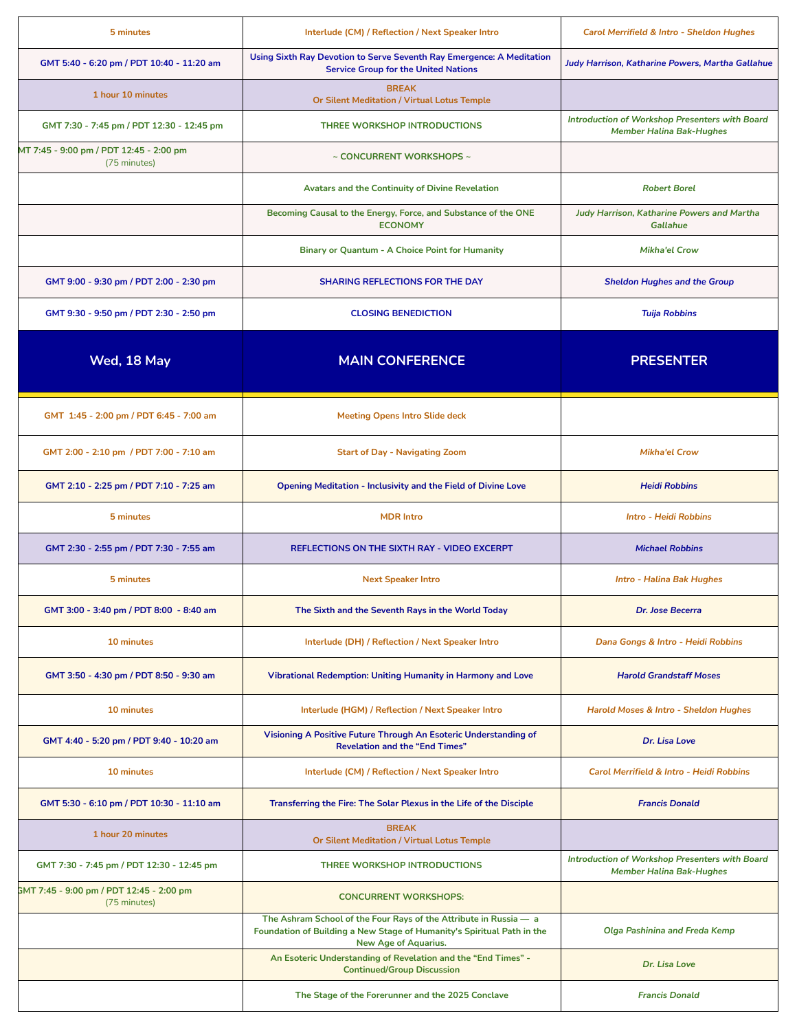| 5 minutes                                                | Interlude (CM) / Reflection / Next Speaker Intro                                                                                                                           | Carol Merrifield & Intro - Sheldon Hughes                                                |
|----------------------------------------------------------|----------------------------------------------------------------------------------------------------------------------------------------------------------------------------|------------------------------------------------------------------------------------------|
| GMT 5:40 - 6:20 pm / PDT 10:40 - 11:20 am                | Using Sixth Ray Devotion to Serve Seventh Ray Emergence: A Meditation<br><b>Service Group for the United Nations</b>                                                       | Judy Harrison, Katharine Powers, Martha Gallahue                                         |
| 1 hour 10 minutes                                        | <b>BREAK</b><br><b>Or Silent Meditation / Virtual Lotus Temple</b>                                                                                                         |                                                                                          |
| GMT 7:30 - 7:45 pm / PDT 12:30 - 12:45 pm                | THREE WORKSHOP INTRODUCTIONS                                                                                                                                               | Introduction of Workshop Presenters with Board<br><b>Member Halina Bak-Hughes</b>        |
| MT 7:45 - 9:00 pm / PDT 12:45 - 2:00 pm<br>(75 minutes)  | $\sim$ CONCURRENT WORKSHOPS $\sim$                                                                                                                                         |                                                                                          |
|                                                          | <b>Avatars and the Continuity of Divine Revelation</b>                                                                                                                     | <b>Robert Borel</b>                                                                      |
|                                                          | Becoming Causal to the Energy, Force, and Substance of the ONE<br><b>ECONOMY</b>                                                                                           | Judy Harrison, Katharine Powers and Martha<br><b>Gallahue</b>                            |
|                                                          | Binary or Quantum - A Choice Point for Humanity                                                                                                                            | <b>Mikha'el Crow</b>                                                                     |
| GMT 9:00 - 9:30 pm / PDT 2:00 - 2:30 pm                  | <b>SHARING REFLECTIONS FOR THE DAY</b>                                                                                                                                     | <b>Sheldon Hughes and the Group</b>                                                      |
| GMT 9:30 - 9:50 pm / PDT 2:30 - 2:50 pm                  | <b>CLOSING BENEDICTION</b>                                                                                                                                                 | <b>Tuija Robbins</b>                                                                     |
| Wed, 18 May                                              | <b>MAIN CONFERENCE</b>                                                                                                                                                     | <b>PRESENTER</b>                                                                         |
| GMT 1:45 - 2:00 pm / PDT 6:45 - 7:00 am                  | <b>Meeting Opens Intro Slide deck</b>                                                                                                                                      |                                                                                          |
| GMT 2:00 - 2:10 pm / PDT 7:00 - 7:10 am                  | <b>Start of Day - Navigating Zoom</b>                                                                                                                                      | <b>Mikha'el Crow</b>                                                                     |
| GMT 2:10 - 2:25 pm / PDT 7:10 - 7:25 am                  | <b>Opening Meditation - Inclusivity and the Field of Divine Love</b>                                                                                                       | <b>Heidi Robbins</b>                                                                     |
| 5 minutes                                                | <b>MDR Intro</b>                                                                                                                                                           | <b>Intro - Heidi Robbins</b>                                                             |
| GMT 2:30 - 2:55 pm / PDT 7:30 - 7:55 am                  | REFLECTIONS ON THE SIXTH RAY - VIDEO EXCERPT                                                                                                                               | <b>Michael Robbins</b>                                                                   |
| 5 minutes                                                | <b>Next Speaker Intro</b>                                                                                                                                                  | <b>Intro - Halina Bak Hughes</b>                                                         |
| GMT 3:00 - 3:40 pm / PDT 8:00 - 8:40 am                  | The Sixth and the Seventh Rays in the World Today                                                                                                                          | Dr. Jose Becerra                                                                         |
| 10 minutes                                               | Interlude (DH) / Reflection / Next Speaker Intro                                                                                                                           | Dana Gongs & Intro - Heidi Robbins                                                       |
| GMT 3:50 - 4:30 pm / PDT 8:50 - 9:30 am                  | Vibrational Redemption: Uniting Humanity in Harmony and Love                                                                                                               | <b>Harold Grandstaff Moses</b>                                                           |
| 10 minutes                                               | Interlude (HGM) / Reflection / Next Speaker Intro                                                                                                                          | Harold Moses & Intro - Sheldon Hughes                                                    |
| GMT 4:40 - 5:20 pm / PDT 9:40 - 10:20 am                 | Visioning A Positive Future Through An Esoteric Understanding of<br><b>Revelation and the "End Times"</b>                                                                  | Dr. Lisa Love                                                                            |
| 10 minutes                                               | Interlude (CM) / Reflection / Next Speaker Intro                                                                                                                           | Carol Merrifield & Intro - Heidi Robbins                                                 |
| GMT 5:30 - 6:10 pm / PDT 10:30 - 11:10 am                | Transferring the Fire: The Solar Plexus in the Life of the Disciple                                                                                                        | <b>Francis Donald</b>                                                                    |
| 1 hour 20 minutes                                        | <b>BREAK</b><br><b>Or Silent Meditation / Virtual Lotus Temple</b>                                                                                                         |                                                                                          |
| GMT 7:30 - 7:45 pm / PDT 12:30 - 12:45 pm                | THREE WORKSHOP INTRODUCTIONS                                                                                                                                               | <b>Introduction of Workshop Presenters with Board</b><br><b>Member Halina Bak-Hughes</b> |
| GMT 7:45 - 9:00 pm / PDT 12:45 - 2:00 pm<br>(75 minutes) | <b>CONCURRENT WORKSHOPS:</b>                                                                                                                                               |                                                                                          |
|                                                          | The Ashram School of the Four Rays of the Attribute in Russia - a<br>Foundation of Building a New Stage of Humanity's Spiritual Path in the<br><b>New Age of Aquarius.</b> | <b>Olga Pashinina and Freda Kemp</b>                                                     |
|                                                          | An Esoteric Understanding of Revelation and the "End Times" -<br><b>Continued/Group Discussion</b>                                                                         | Dr. Lisa Love                                                                            |
|                                                          | The Stage of the Forerunner and the 2025 Conclave                                                                                                                          | <b>Francis Donald</b>                                                                    |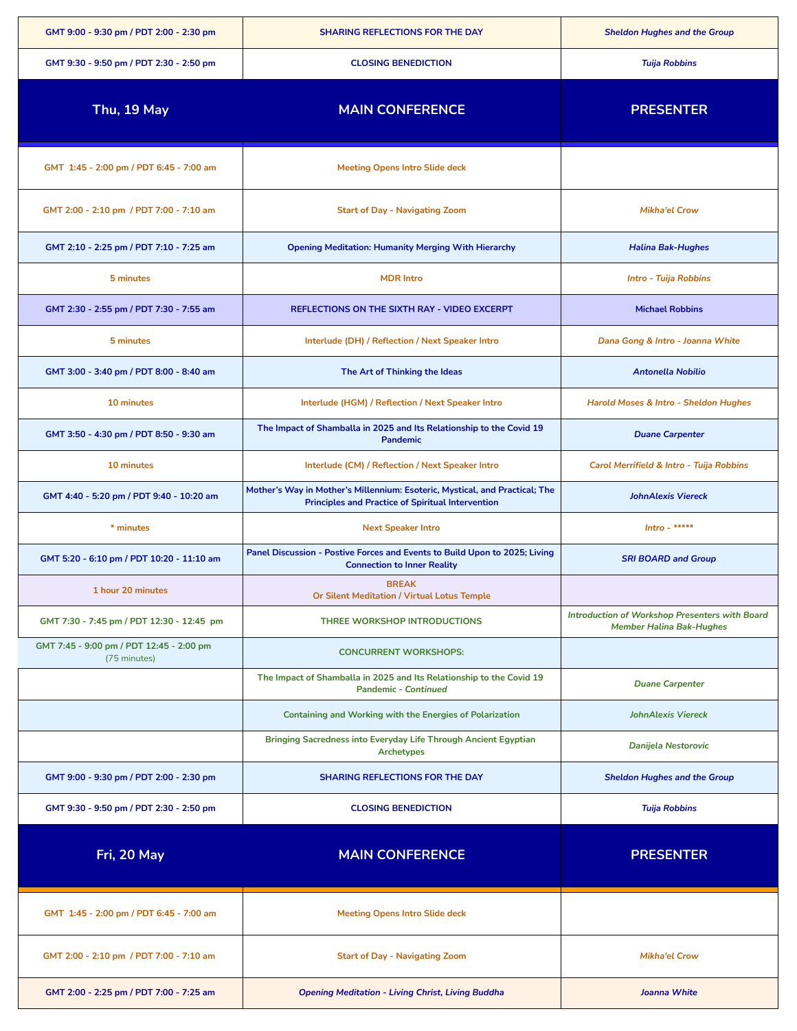| GMT 9:00 - 9:30 pm / PDT 2:00 - 2:30 pm                  | SHARING REFLECTIONS FOR THE DAY                                                                                                         | <b>Sheldon Hughes and the Group</b>                                               |
|----------------------------------------------------------|-----------------------------------------------------------------------------------------------------------------------------------------|-----------------------------------------------------------------------------------|
| GMT 9:30 - 9:50 pm / PDT 2:30 - 2:50 pm                  | <b>CLOSING BENEDICTION</b>                                                                                                              | <b>Tuija Robbins</b>                                                              |
| Thu, 19 May                                              | <b>MAIN CONFERENCE</b>                                                                                                                  | <b>PRESENTER</b>                                                                  |
| GMT 1:45 - 2:00 pm / PDT 6:45 - 7:00 am                  | <b>Meeting Opens Intro Slide deck</b>                                                                                                   |                                                                                   |
| GMT 2:00 - 2:10 pm / PDT 7:00 - 7:10 am                  | <b>Start of Day - Navigating Zoom</b>                                                                                                   | <b>Mikha'el Crow</b>                                                              |
| GMT 2:10 - 2:25 pm / PDT 7:10 - 7:25 am                  | <b>Opening Meditation: Humanity Merging With Hierarchy</b>                                                                              | <b>Halina Bak-Hughes</b>                                                          |
| 5 minutes                                                | <b>MDR Intro</b>                                                                                                                        | <b>Intro - Tuija Robbins</b>                                                      |
| GMT 2:30 - 2:55 pm / PDT 7:30 - 7:55 am                  | REFLECTIONS ON THE SIXTH RAY - VIDEO EXCERPT                                                                                            | <b>Michael Robbins</b>                                                            |
| 5 minutes                                                | Interlude (DH) / Reflection / Next Speaker Intro                                                                                        | Dana Gong & Intro - Joanna White                                                  |
| GMT 3:00 - 3:40 pm / PDT 8:00 - 8:40 am                  | The Art of Thinking the Ideas                                                                                                           | <b>Antonella Nobilio</b>                                                          |
| 10 minutes                                               | Interlude (HGM) / Reflection / Next Speaker Intro                                                                                       | Harold Moses & Intro - Sheldon Hughes                                             |
| GMT 3:50 - 4:30 pm / PDT 8:50 - 9:30 am                  | The Impact of Shamballa in 2025 and Its Relationship to the Covid 19<br><b>Pandemic</b>                                                 | <b>Duane Carpenter</b>                                                            |
| 10 minutes                                               | Interlude (CM) / Reflection / Next Speaker Intro                                                                                        | Carol Merrifield & Intro - Tuija Robbins                                          |
| GMT 4:40 - 5:20 pm / PDT 9:40 - 10:20 am                 | Mother's Way in Mother's Millennium: Esoteric, Mystical, and Practical; The<br><b>Principles and Practice of Spiritual Intervention</b> | <b>JohnAlexis Viereck</b>                                                         |
| * minutes                                                | <b>Next Speaker Intro</b>                                                                                                               | Intro - *****                                                                     |
| GMT 5:20 - 6:10 pm / PDT 10:20 - 11:10 am                | Panel Discussion - Postive Forces and Events to Build Upon to 2025; Living<br><b>Connection to Inner Reality</b>                        | <b>SRI BOARD and Group</b>                                                        |
| 1 hour 20 minutes                                        | <b>BREAK</b><br><b>Or Silent Meditation / Virtual Lotus Temple</b>                                                                      |                                                                                   |
| GMT 7:30 - 7:45 pm / PDT 12:30 - 12:45 pm                | THREE WORKSHOP INTRODUCTIONS                                                                                                            | Introduction of Workshop Presenters with Board<br><b>Member Halina Bak-Hughes</b> |
| GMT 7:45 - 9:00 pm / PDT 12:45 - 2:00 pm<br>(75 minutes) | <b>CONCURRENT WORKSHOPS:</b>                                                                                                            |                                                                                   |
|                                                          | The Impact of Shamballa in 2025 and Its Relationship to the Covid 19<br><b>Pandemic - Continued</b>                                     | <b>Duane Carpenter</b>                                                            |
|                                                          | <b>Containing and Working with the Energies of Polarization</b>                                                                         | <b>JohnAlexis Viereck</b>                                                         |
|                                                          | Bringing Sacredness into Everyday Life Through Ancient Egyptian<br><b>Archetypes</b>                                                    | <b>Danijela Nestorovic</b>                                                        |
| GMT 9:00 - 9:30 pm / PDT 2:00 - 2:30 pm                  |                                                                                                                                         |                                                                                   |
|                                                          | <b>SHARING REFLECTIONS FOR THE DAY</b>                                                                                                  | <b>Sheldon Hughes and the Group</b>                                               |
| GMT 9:30 - 9:50 pm / PDT 2:30 - 2:50 pm                  | <b>CLOSING BENEDICTION</b>                                                                                                              | <b>Tuija Robbins</b>                                                              |
| Fri, 20 May                                              | <b>MAIN CONFERENCE</b>                                                                                                                  | <b>PRESENTER</b>                                                                  |
| GMT 1:45 - 2:00 pm / PDT 6:45 - 7:00 am                  | <b>Meeting Opens Intro Slide deck</b>                                                                                                   |                                                                                   |
| GMT 2:00 - 2:10 pm / PDT 7:00 - 7:10 am                  | <b>Start of Day - Navigating Zoom</b>                                                                                                   | <b>Mikha'el Crow</b>                                                              |